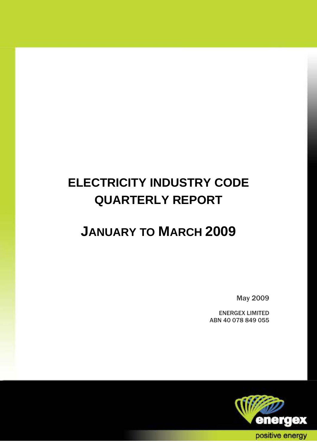# **ELECTRICITY INDUSTRY CODE QUARTERLY REPORT**

## **JANUARY TO MARCH 2009**

May 2009

ENERGEX LIMITED ABN 40 078 849 055

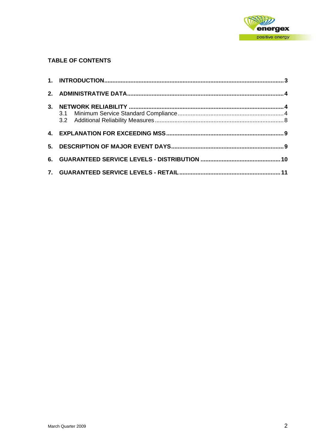

## **TABLE OF CONTENTS**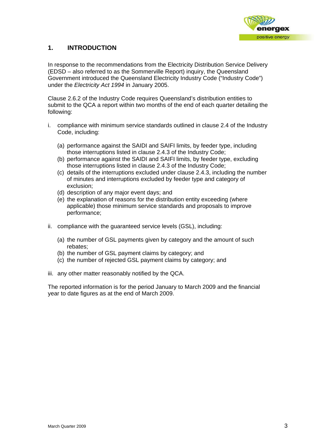

## <span id="page-2-0"></span>**1. INTRODUCTION**

In response to the recommendations from the Electricity Distribution Service Delivery (EDSD – also referred to as the Sommerville Report) inquiry, the Queensland Government introduced the Queensland Electricity Industry Code ("Industry Code") under the *Electricity Act 1994* in January 2005.

Clause 2.6.2 of the Industry Code requires Queensland's distribution entities to submit to the QCA a report within two months of the end of each quarter detailing the following:

- i. compliance with minimum service standards outlined in clause 2.4 of the Industry Code, including:
	- (a) performance against the SAIDI and SAIFI limits, by feeder type, including those interruptions listed in clause 2.4.3 of the Industry Code;
	- (b) performance against the SAIDI and SAIFI limits, by feeder type, excluding those interruptions listed in clause 2.4.3 of the Industry Code;
	- (c) details of the interruptions excluded under clause 2.4.3, including the number of minutes and interruptions excluded by feeder type and category of exclusion;
	- (d) description of any major event days; and
	- (e) the explanation of reasons for the distribution entity exceeding (where applicable) those minimum service standards and proposals to improve performance;
- ii. compliance with the guaranteed service levels (GSL), including:
	- (a) the number of GSL payments given by category and the amount of such rebates;
	- (b) the number of GSL payment claims by category; and
	- (c) the number of rejected GSL payment claims by category; and
- iii. any other matter reasonably notified by the QCA.

The reported information is for the period January to March 2009 and the financial year to date figures as at the end of March 2009.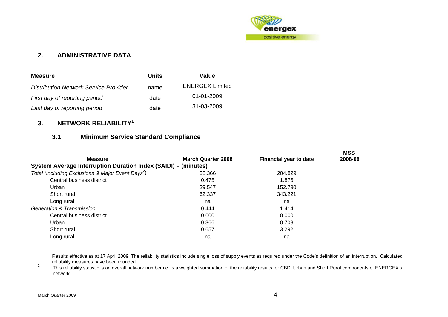

## **2. ADMINISTRATIVE DATA**

| <b>Measure</b>                               | Units | Value                  |
|----------------------------------------------|-------|------------------------|
| <b>Distribution Network Service Provider</b> | name  | <b>ENERGEX Limited</b> |
| First day of reporting period                | date  | 01-01-2009             |
| Last day of reporting period                 | date  | 31-03-2009             |

## **3. NETWORK RELIABILITY[1](#page-3-1)**

## **3.1 Minimum Service Standard Compliance**

|                                                                |                           |                               | <b>MSS</b> |
|----------------------------------------------------------------|---------------------------|-------------------------------|------------|
| <b>Measure</b>                                                 | <b>March Quarter 2008</b> | <b>Financial year to date</b> | 2008-09    |
| System Average Interruption Duration Index (SAIDI) - (minutes) |                           |                               |            |
| Total (Including Exclusions & Major Event Days <sup>2</sup> )  | 38.366                    | 204.829                       |            |
| Central business district                                      | 0.475                     | 1.876                         |            |
| Urban                                                          | 29.547                    | 152.790                       |            |
| Short rural                                                    | 62.337                    | 343.221                       |            |
| Long rural                                                     | na                        | na                            |            |
| <b>Generation &amp; Transmission</b>                           | 0.444                     | 1.414                         |            |
| Central business district                                      | 0.000                     | 0.000                         |            |
| Urban                                                          | 0.366                     | 0.703                         |            |
| Short rural                                                    | 0.657                     | 3.292                         |            |
| Long rural                                                     | na                        | na                            |            |
|                                                                |                           |                               |            |

1 Results effective as at 17 April 2009. The reliability statistics include single loss of supply events as required under the Code's definition of an interruption. Calculated reliability measures have been rounded.

<span id="page-3-2"></span><span id="page-3-1"></span><span id="page-3-0"></span> This reliability statistic is an overall network number i.e. is a weighted summation of the reliability results for CBD, Urban and Short Rural components of ENERGEX's network.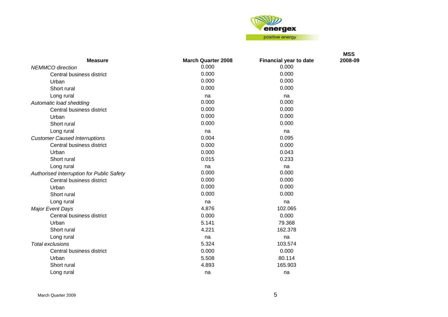

| 0.000<br>0.000<br><b>NEMMCO</b> direction<br>0.000<br>0.000<br>Central business district<br>0.000<br>0.000<br>Urban<br>0.000<br>0.000<br>Short rural<br>Long rural<br>na<br>na<br>0.000<br>0.000<br>Automatic load shedding<br>0.000<br>0.000<br>Central business district<br>0.000<br>0.000<br>Urban<br>0.000<br>0.000<br>Short rural<br>Long rural<br>na<br>na<br><b>Customer Caused Interruptions</b><br>0.004<br>0.095<br>Central business district<br>0.000<br>0.000<br>Urban<br>0.000<br>0.043<br>0.015<br>0.233<br>Short rural<br>Long rural<br>na<br>na<br>0.000<br>0.000<br>Authorised Interruption for Public Safety<br>0.000<br>0.000<br>Central business district<br>0.000<br>0.000<br>Urban<br>0.000<br>0.000<br>Short rural<br>Long rural<br>na<br>na<br>4.876<br>102.065<br>Major Event Days<br>0.000<br>0.000<br>Central business district<br>5.141<br>79.368<br>Urban<br>4.221<br>162.378<br>Short rural<br>Long rural<br>na<br>na<br>5.324<br><b>Total exclusions</b><br>103.574<br>Central business district<br>0.000<br>0.000<br>Urban<br>5.508<br>80.114<br>165.903<br>Short rural<br>4.893 |                |                           |                        | <b>MSS</b> |
|------------------------------------------------------------------------------------------------------------------------------------------------------------------------------------------------------------------------------------------------------------------------------------------------------------------------------------------------------------------------------------------------------------------------------------------------------------------------------------------------------------------------------------------------------------------------------------------------------------------------------------------------------------------------------------------------------------------------------------------------------------------------------------------------------------------------------------------------------------------------------------------------------------------------------------------------------------------------------------------------------------------------------------------------------------------------------------------------------------------|----------------|---------------------------|------------------------|------------|
|                                                                                                                                                                                                                                                                                                                                                                                                                                                                                                                                                                                                                                                                                                                                                                                                                                                                                                                                                                                                                                                                                                                  | <b>Measure</b> | <b>March Quarter 2008</b> | Financial year to date | 2008-09    |
|                                                                                                                                                                                                                                                                                                                                                                                                                                                                                                                                                                                                                                                                                                                                                                                                                                                                                                                                                                                                                                                                                                                  |                |                           |                        |            |
|                                                                                                                                                                                                                                                                                                                                                                                                                                                                                                                                                                                                                                                                                                                                                                                                                                                                                                                                                                                                                                                                                                                  |                |                           |                        |            |
|                                                                                                                                                                                                                                                                                                                                                                                                                                                                                                                                                                                                                                                                                                                                                                                                                                                                                                                                                                                                                                                                                                                  |                |                           |                        |            |
|                                                                                                                                                                                                                                                                                                                                                                                                                                                                                                                                                                                                                                                                                                                                                                                                                                                                                                                                                                                                                                                                                                                  |                |                           |                        |            |
|                                                                                                                                                                                                                                                                                                                                                                                                                                                                                                                                                                                                                                                                                                                                                                                                                                                                                                                                                                                                                                                                                                                  |                |                           |                        |            |
|                                                                                                                                                                                                                                                                                                                                                                                                                                                                                                                                                                                                                                                                                                                                                                                                                                                                                                                                                                                                                                                                                                                  |                |                           |                        |            |
|                                                                                                                                                                                                                                                                                                                                                                                                                                                                                                                                                                                                                                                                                                                                                                                                                                                                                                                                                                                                                                                                                                                  |                |                           |                        |            |
|                                                                                                                                                                                                                                                                                                                                                                                                                                                                                                                                                                                                                                                                                                                                                                                                                                                                                                                                                                                                                                                                                                                  |                |                           |                        |            |
|                                                                                                                                                                                                                                                                                                                                                                                                                                                                                                                                                                                                                                                                                                                                                                                                                                                                                                                                                                                                                                                                                                                  |                |                           |                        |            |
|                                                                                                                                                                                                                                                                                                                                                                                                                                                                                                                                                                                                                                                                                                                                                                                                                                                                                                                                                                                                                                                                                                                  |                |                           |                        |            |
|                                                                                                                                                                                                                                                                                                                                                                                                                                                                                                                                                                                                                                                                                                                                                                                                                                                                                                                                                                                                                                                                                                                  |                |                           |                        |            |
|                                                                                                                                                                                                                                                                                                                                                                                                                                                                                                                                                                                                                                                                                                                                                                                                                                                                                                                                                                                                                                                                                                                  |                |                           |                        |            |
|                                                                                                                                                                                                                                                                                                                                                                                                                                                                                                                                                                                                                                                                                                                                                                                                                                                                                                                                                                                                                                                                                                                  |                |                           |                        |            |
|                                                                                                                                                                                                                                                                                                                                                                                                                                                                                                                                                                                                                                                                                                                                                                                                                                                                                                                                                                                                                                                                                                                  |                |                           |                        |            |
|                                                                                                                                                                                                                                                                                                                                                                                                                                                                                                                                                                                                                                                                                                                                                                                                                                                                                                                                                                                                                                                                                                                  |                |                           |                        |            |
|                                                                                                                                                                                                                                                                                                                                                                                                                                                                                                                                                                                                                                                                                                                                                                                                                                                                                                                                                                                                                                                                                                                  |                |                           |                        |            |
|                                                                                                                                                                                                                                                                                                                                                                                                                                                                                                                                                                                                                                                                                                                                                                                                                                                                                                                                                                                                                                                                                                                  |                |                           |                        |            |
|                                                                                                                                                                                                                                                                                                                                                                                                                                                                                                                                                                                                                                                                                                                                                                                                                                                                                                                                                                                                                                                                                                                  |                |                           |                        |            |
|                                                                                                                                                                                                                                                                                                                                                                                                                                                                                                                                                                                                                                                                                                                                                                                                                                                                                                                                                                                                                                                                                                                  |                |                           |                        |            |
|                                                                                                                                                                                                                                                                                                                                                                                                                                                                                                                                                                                                                                                                                                                                                                                                                                                                                                                                                                                                                                                                                                                  |                |                           |                        |            |
|                                                                                                                                                                                                                                                                                                                                                                                                                                                                                                                                                                                                                                                                                                                                                                                                                                                                                                                                                                                                                                                                                                                  |                |                           |                        |            |
|                                                                                                                                                                                                                                                                                                                                                                                                                                                                                                                                                                                                                                                                                                                                                                                                                                                                                                                                                                                                                                                                                                                  |                |                           |                        |            |
|                                                                                                                                                                                                                                                                                                                                                                                                                                                                                                                                                                                                                                                                                                                                                                                                                                                                                                                                                                                                                                                                                                                  |                |                           |                        |            |
|                                                                                                                                                                                                                                                                                                                                                                                                                                                                                                                                                                                                                                                                                                                                                                                                                                                                                                                                                                                                                                                                                                                  |                |                           |                        |            |
|                                                                                                                                                                                                                                                                                                                                                                                                                                                                                                                                                                                                                                                                                                                                                                                                                                                                                                                                                                                                                                                                                                                  |                |                           |                        |            |
|                                                                                                                                                                                                                                                                                                                                                                                                                                                                                                                                                                                                                                                                                                                                                                                                                                                                                                                                                                                                                                                                                                                  |                |                           |                        |            |
|                                                                                                                                                                                                                                                                                                                                                                                                                                                                                                                                                                                                                                                                                                                                                                                                                                                                                                                                                                                                                                                                                                                  |                |                           |                        |            |
|                                                                                                                                                                                                                                                                                                                                                                                                                                                                                                                                                                                                                                                                                                                                                                                                                                                                                                                                                                                                                                                                                                                  |                |                           |                        |            |
|                                                                                                                                                                                                                                                                                                                                                                                                                                                                                                                                                                                                                                                                                                                                                                                                                                                                                                                                                                                                                                                                                                                  |                |                           |                        |            |
|                                                                                                                                                                                                                                                                                                                                                                                                                                                                                                                                                                                                                                                                                                                                                                                                                                                                                                                                                                                                                                                                                                                  | Long rural     | na                        | na                     |            |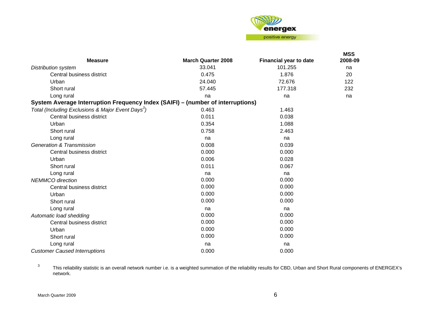

| <b>Measure</b>                                                                  | <b>March Quarter 2008</b> | Financial year to date | <b>MSS</b><br>2008-09 |
|---------------------------------------------------------------------------------|---------------------------|------------------------|-----------------------|
| <b>Distribution system</b>                                                      | 33.041                    | 101.255                | na                    |
| Central business district                                                       | 0.475                     | 1.876                  | 20                    |
| Urban                                                                           | 24.040                    | 72.676                 | 122                   |
| Short rural                                                                     | 57.445                    | 177.318                | 232                   |
| Long rural                                                                      | na                        | na                     | na                    |
| System Average Interruption Frequency Index (SAIFI) - (number of interruptions) |                           |                        |                       |
| Total (Including Exclusions & Major Event Days <sup>3</sup> )                   | 0.463                     | 1.463                  |                       |
| Central business district                                                       | 0.011                     | 0.038                  |                       |
| Urban                                                                           | 0.354                     | 1.088                  |                       |
| Short rural                                                                     | 0.758                     | 2.463                  |                       |
| Long rural                                                                      | na                        | na                     |                       |
| <b>Generation &amp; Transmission</b>                                            | 0.008                     | 0.039                  |                       |
| Central business district                                                       | 0.000                     | 0.000                  |                       |
| Urban                                                                           | 0.006                     | 0.028                  |                       |
| Short rural                                                                     | 0.011                     | 0.067                  |                       |
| Long rural                                                                      | na                        | na                     |                       |
| <b>NEMMCO</b> direction                                                         | 0.000                     | 0.000                  |                       |
| Central business district                                                       | 0.000                     | 0.000                  |                       |
| Urban                                                                           | 0.000                     | 0.000                  |                       |
| Short rural                                                                     | 0.000                     | 0.000                  |                       |
| Long rural                                                                      | na                        | na                     |                       |
| Automatic load shedding                                                         | 0.000                     | 0.000                  |                       |
| Central business district                                                       | 0.000                     | 0.000                  |                       |
| Urban                                                                           | 0.000                     | 0.000                  |                       |
| Short rural                                                                     | 0.000                     | 0.000                  |                       |
| Long rural                                                                      | na                        | na                     |                       |
| <b>Customer Caused Interruptions</b>                                            | 0.000                     | 0.000                  |                       |

<span id="page-5-0"></span>3 This reliability statistic is an overall network number i.e. is a weighted summation of the reliability results for CBD, Urban and Short Rural components of ENERGEX's network.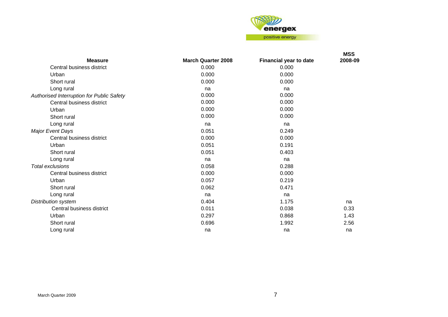

|                                           |                           |                        | <b>MSS</b> |
|-------------------------------------------|---------------------------|------------------------|------------|
| <b>Measure</b>                            | <b>March Quarter 2008</b> | Financial year to date | 2008-09    |
| Central business district                 | 0.000                     | 0.000                  |            |
| Urban                                     | 0.000                     | 0.000                  |            |
| Short rural                               | 0.000                     | 0.000                  |            |
| Long rural                                | na                        | na                     |            |
| Authorised Interruption for Public Safety | 0.000                     | 0.000                  |            |
| Central business district                 | 0.000                     | 0.000                  |            |
| Urban                                     | 0.000                     | 0.000                  |            |
| Short rural                               | 0.000                     | 0.000                  |            |
| Long rural                                | na                        | na                     |            |
| <b>Major Event Days</b>                   | 0.051                     | 0.249                  |            |
| Central business district                 | 0.000                     | 0.000                  |            |
| Urban                                     | 0.051                     | 0.191                  |            |
| Short rural                               | 0.051                     | 0.403                  |            |
| Long rural                                | na                        | na                     |            |
| <b>Total exclusions</b>                   | 0.058                     | 0.288                  |            |
| Central business district                 | 0.000                     | 0.000                  |            |
| Urban                                     | 0.057                     | 0.219                  |            |
| Short rural                               | 0.062                     | 0.471                  |            |
| Long rural                                | na                        | na                     |            |
| Distribution system                       | 0.404                     | 1.175                  | na         |
| Central business district                 | 0.011                     | 0.038                  | 0.33       |
| Urban                                     | 0.297                     | 0.868                  | 1.43       |
| Short rural                               | 0.696                     | 1.992                  | 2.56       |
| Long rural                                | na                        | na                     | na         |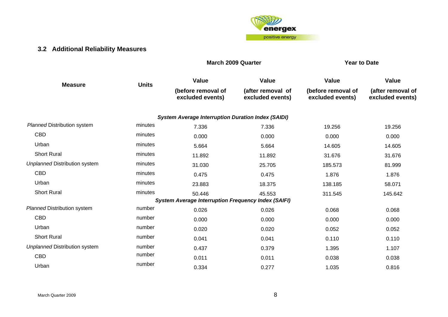

## **3.2 Additional Reliability Measures**

#### **March 2009 Quarter March 2009 Outstand Accord Property**

<span id="page-7-0"></span>

| <b>Measure</b>                       | <b>Units</b> | <b>Value</b>                                               | Value                                 | Value                                  | Value                                 |  |
|--------------------------------------|--------------|------------------------------------------------------------|---------------------------------------|----------------------------------------|---------------------------------------|--|
|                                      |              | (before removal of<br>excluded events)                     | (after removal of<br>excluded events) | (before removal of<br>excluded events) | (after removal of<br>excluded events) |  |
|                                      |              | <b>System Average Interruption Duration Index (SAIDI)</b>  |                                       |                                        |                                       |  |
| <b>Planned Distribution system</b>   | minutes      | 7.336                                                      | 7.336                                 | 19.256                                 | 19.256                                |  |
| <b>CBD</b>                           | minutes      | 0.000                                                      | 0.000                                 | 0.000                                  | 0.000                                 |  |
| Urban                                | minutes      | 5.664                                                      | 5.664                                 | 14.605                                 | 14.605                                |  |
| <b>Short Rural</b>                   | minutes      | 11.892                                                     | 11.892                                | 31.676                                 | 31.676                                |  |
| <b>Unplanned Distribution system</b> | minutes      | 31.030                                                     | 25.705                                | 185.573                                | 81.999                                |  |
| <b>CBD</b>                           | minutes      | 0.475                                                      | 0.475                                 | 1.876                                  | 1.876                                 |  |
| Urban                                | minutes      | 23.883                                                     | 18.375                                | 138.185                                | 58.071                                |  |
| <b>Short Rural</b>                   | minutes      | 50.446                                                     | 45.553                                | 311.545                                | 145.642                               |  |
|                                      |              | <b>System Average Interruption Frequency Index (SAIFI)</b> |                                       |                                        |                                       |  |
| <b>Planned Distribution system</b>   | number       | 0.026                                                      | 0.026                                 | 0.068                                  | 0.068                                 |  |
| <b>CBD</b>                           | number       | 0.000                                                      | 0.000                                 | 0.000                                  | 0.000                                 |  |
| Urban                                | number       | 0.020                                                      | 0.020                                 | 0.052                                  | 0.052                                 |  |
| <b>Short Rural</b>                   | number       | 0.041                                                      | 0.041                                 | 0.110                                  | 0.110                                 |  |
| <b>Unplanned Distribution system</b> | number       | 0.437                                                      | 0.379                                 | 1.395                                  | 1.107                                 |  |
| <b>CBD</b>                           | number       | 0.011                                                      | 0.011                                 | 0.038                                  | 0.038                                 |  |
| Urban                                | number       | 0.334                                                      | 0.277                                 | 1.035                                  | 0.816                                 |  |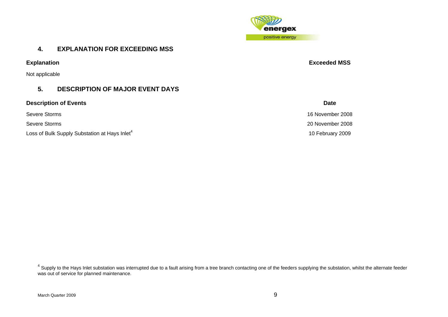

## **4. EXPLANATION FOR EXCEEDING MSS**

Not applicable

## **5. DESCRIPTION OF MAJOR EVENT DAYS**

**Description of Events** Date **Date** 

Loss of Bulk Supply Substation at Hays Inlet<sup>[4](#page-8-1)</sup> 10 February 2009

**Explanation Exceeded MSS** 

Severe Storms 16 November 2008 Severe Storms 20 November 2008

<span id="page-8-1"></span><span id="page-8-0"></span> $^4$  Supply to the Hays Inlet substation was interrupted due to a fault arising from a tree branch contacting one of the feeders supplying the substation, whilst the alternate feeder was out of service for planned maintenance.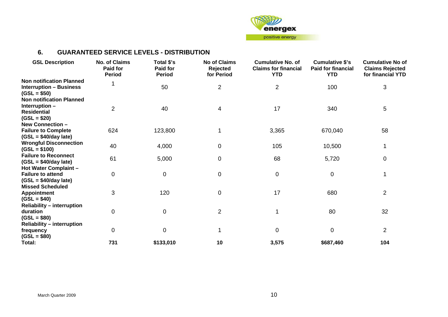

## **6. GUARANTEED SERVICE LEVELS - DISTRIBUTION**

<span id="page-9-0"></span>

| <b>GSL Description</b>                          | No. of Claims<br>Paid for<br><b>Period</b> | Total \$'s<br>Paid for<br><b>Period</b> | <b>No of Claims</b><br>Rejected<br>for Period | <b>Cumulative No. of</b><br><b>Claims for financial</b><br><b>YTD</b> | <b>Cumulative \$'s</b><br><b>Paid for financial</b><br><b>YTD</b> | <b>Cumulative No of</b><br><b>Claims Rejected</b><br>for financial YTD |
|-------------------------------------------------|--------------------------------------------|-----------------------------------------|-----------------------------------------------|-----------------------------------------------------------------------|-------------------------------------------------------------------|------------------------------------------------------------------------|
| <b>Non notification Planned</b>                 |                                            |                                         |                                               |                                                                       |                                                                   |                                                                        |
| <b>Interruption - Business</b><br>$(GSL = $50)$ |                                            | 50                                      | $\overline{c}$                                | $\overline{2}$                                                        | 100                                                               | 3                                                                      |
| <b>Non notification Planned</b>                 |                                            |                                         |                                               |                                                                       |                                                                   |                                                                        |
| Interruption -                                  |                                            |                                         |                                               |                                                                       |                                                                   |                                                                        |
| <b>Residential</b>                              | $\overline{2}$                             | 40                                      | 4                                             | 17                                                                    | 340                                                               | 5                                                                      |
| $(GSL = $20)$                                   |                                            |                                         |                                               |                                                                       |                                                                   |                                                                        |
| New Connection -                                |                                            |                                         |                                               |                                                                       |                                                                   |                                                                        |
| <b>Failure to Complete</b>                      | 624                                        | 123,800                                 |                                               | 3,365                                                                 | 670,040                                                           | 58                                                                     |
| $(GSL = $40/day$ late)                          |                                            |                                         |                                               |                                                                       |                                                                   |                                                                        |
| <b>Wrongful Disconnection</b>                   |                                            |                                         |                                               |                                                                       |                                                                   |                                                                        |
| $(GSL = $100)$                                  | 40                                         | 4,000                                   | $\boldsymbol{0}$                              | 105                                                                   | 10,500                                                            | 1                                                                      |
| <b>Failure to Reconnect</b>                     |                                            |                                         |                                               |                                                                       |                                                                   |                                                                        |
| $(GSL = $40/day$ late)                          | 61                                         | 5,000                                   | 0                                             | 68                                                                    | 5,720                                                             | $\pmb{0}$                                                              |
| Hot Water Complaint -                           |                                            |                                         |                                               |                                                                       |                                                                   |                                                                        |
| <b>Failure to attend</b>                        | $\mathbf 0$                                | $\mathbf 0$                             | $\boldsymbol{0}$                              | $\pmb{0}$                                                             | 0                                                                 | 1                                                                      |
| $(GSL = $40/day$ late)                          |                                            |                                         |                                               |                                                                       |                                                                   |                                                                        |
| <b>Missed Scheduled</b>                         |                                            |                                         |                                               |                                                                       |                                                                   |                                                                        |
| Appointment                                     | 3                                          | 120                                     | $\mathbf 0$                                   | 17                                                                    | 680                                                               | $\overline{2}$                                                         |
| $(GSL = $40)$                                   |                                            |                                         |                                               |                                                                       |                                                                   |                                                                        |
| <b>Reliability - interruption</b>               |                                            |                                         |                                               |                                                                       |                                                                   |                                                                        |
| duration                                        | 0                                          | $\overline{0}$                          | $\overline{c}$                                |                                                                       | 80                                                                | 32                                                                     |
| $(GSL = $80)$                                   |                                            |                                         |                                               |                                                                       |                                                                   |                                                                        |
| <b>Reliability - interruption</b>               |                                            |                                         |                                               |                                                                       |                                                                   |                                                                        |
| frequency                                       | $\overline{0}$                             | $\overline{0}$                          |                                               | $\mathbf 0$                                                           | 0                                                                 | $\overline{2}$                                                         |
| $(GSL = $80)$                                   |                                            |                                         |                                               |                                                                       |                                                                   |                                                                        |
| Total:                                          | 731                                        | \$133,010                               | 10                                            | 3,575                                                                 | \$687,460                                                         | 104                                                                    |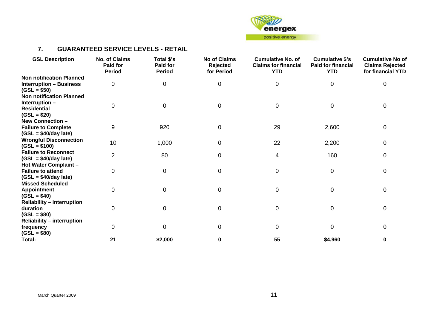

## **7. GUARANTEED SERVICE LEVELS - RETAIL**

<span id="page-10-0"></span>

| <b>GSL Description</b>                          | <b>No. of Claims</b><br><b>Paid for</b><br><b>Period</b> | Total \$'s<br>Paid for<br><b>Period</b> | <b>No of Claims</b><br>Rejected<br>for Period | <b>Cumulative No. of</b><br><b>Claims for financial</b><br><b>YTD</b> | <b>Cumulative \$'s</b><br><b>Paid for financial</b><br><b>YTD</b> | <b>Cumulative No of</b><br><b>Claims Rejected</b><br>for financial YTD |
|-------------------------------------------------|----------------------------------------------------------|-----------------------------------------|-----------------------------------------------|-----------------------------------------------------------------------|-------------------------------------------------------------------|------------------------------------------------------------------------|
| <b>Non notification Planned</b>                 |                                                          |                                         |                                               |                                                                       |                                                                   |                                                                        |
| <b>Interruption - Business</b><br>$(GSL = $50)$ | 0                                                        | 0                                       | 0                                             | 0                                                                     | 0                                                                 | 0                                                                      |
| <b>Non notification Planned</b>                 |                                                          |                                         |                                               |                                                                       |                                                                   |                                                                        |
| Interruption-                                   |                                                          |                                         |                                               |                                                                       |                                                                   |                                                                        |
| <b>Residential</b>                              | 0                                                        | $\Omega$                                | 0                                             | $\mathbf 0$                                                           | 0                                                                 | 0                                                                      |
| $(GSL = $20)$                                   |                                                          |                                         |                                               |                                                                       |                                                                   |                                                                        |
| New Connection -                                |                                                          |                                         |                                               |                                                                       |                                                                   |                                                                        |
| <b>Failure to Complete</b>                      | 9                                                        | 920                                     | 0                                             | 29                                                                    | 2,600                                                             | 0                                                                      |
| $(GSL = $40/day$ late)                          |                                                          |                                         |                                               |                                                                       |                                                                   |                                                                        |
| <b>Wrongful Disconnection</b>                   |                                                          |                                         |                                               |                                                                       |                                                                   |                                                                        |
| $(GSL = $100)$                                  | 10                                                       | 1,000                                   | 0                                             | 22                                                                    | 2,200                                                             | 0                                                                      |
| <b>Failure to Reconnect</b>                     |                                                          |                                         |                                               |                                                                       |                                                                   |                                                                        |
| $(GSL = $40/day$ late)                          | $\overline{2}$                                           | 80                                      | 0                                             | 4                                                                     | 160                                                               | 0                                                                      |
| Hot Water Complaint -                           |                                                          |                                         |                                               |                                                                       |                                                                   |                                                                        |
| <b>Failure to attend</b>                        | 0                                                        | 0                                       | 0                                             | $\mathbf 0$                                                           | 0                                                                 | 0                                                                      |
| $(GSL = $40/day$ late)                          |                                                          |                                         |                                               |                                                                       |                                                                   |                                                                        |
| <b>Missed Scheduled</b>                         |                                                          |                                         |                                               |                                                                       |                                                                   |                                                                        |
| <b>Appointment</b>                              | 0                                                        | 0                                       | 0                                             | 0                                                                     | 0                                                                 | $\mathbf 0$                                                            |
| $(GSL = $40)$                                   |                                                          |                                         |                                               |                                                                       |                                                                   |                                                                        |
| <b>Reliability - interruption</b>               |                                                          |                                         |                                               |                                                                       |                                                                   |                                                                        |
| duration                                        | 0                                                        | O                                       | 0                                             | 0                                                                     | 0                                                                 | 0                                                                      |
| $(GSL = $80)$                                   |                                                          |                                         |                                               |                                                                       |                                                                   |                                                                        |
| <b>Reliability - interruption</b>               |                                                          |                                         |                                               |                                                                       |                                                                   |                                                                        |
| frequency                                       | 0                                                        | 0                                       | 0                                             | $\mathbf 0$                                                           | 0                                                                 | 0                                                                      |
| $(GSL = $80)$                                   |                                                          |                                         |                                               |                                                                       |                                                                   |                                                                        |
| Total:                                          | 21                                                       | \$2,000                                 | 0                                             | 55                                                                    | \$4,960                                                           | 0                                                                      |